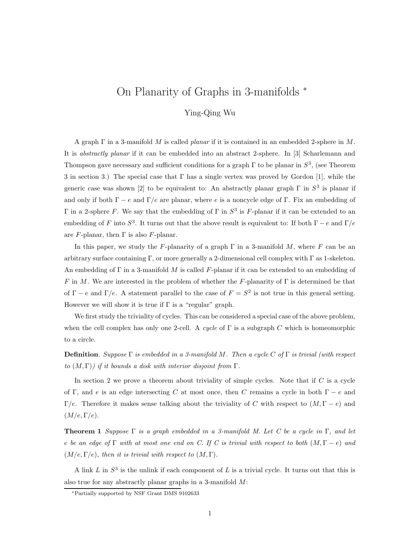# On Planarity of Graphs in 3-manifolds <sup>∗</sup>

Ying-Qing Wu

A graph  $\Gamma$  in a 3-manifold M is called *planar* if it is contained in an embedded 2-sphere in M. It is abstractly planar if it can be embedded into an abstract 2-sphere. In [3] Scharlemann and Thompson gave necessary and sufficient conditions for a graph  $\Gamma$  to be planar in  $S^3$ , (see Theorem 3 in section 3.) The special case that  $\Gamma$  has a single vertex was proved by Gordon [1], while the generic case was shown [2] to be equivalent to: An abstractly planar graph  $\Gamma$  in  $S^3$  is planar if and only if both  $\Gamma - e$  and  $\Gamma/e$  are planar, where e is a noncycle edge of  $\Gamma$ . Fix an embedding of  $Γ$  in a 2-sphere  $F$ . We say that the embedding of  $Γ$  in  $S^3$  is  $F$ -planar if it can be extended to an embedding of F into  $S^3$ . It turns out that the above result is equivalent to: If both  $\Gamma - e$  and  $\Gamma/e$ are F-planar, then  $\Gamma$  is also F-planar.

In this paper, we study the F-planarity of a graph  $\Gamma$  in a 3-manifold M, where F can be an arbitrary surface containing Γ, or more generally a 2-dimensional cell complex with Γ as 1-skeleton. An embedding of  $\Gamma$  in a 3-manifold M is called F-planar if it can be extended to an embedding of F in M. We are interested in the problem of whether the F-planarity of  $\Gamma$  is determined be that of  $\Gamma - e$  and  $\Gamma/e$ . A statement parallel to the case of  $F = S^2$  is not true in this general setting. However we will show it is true if  $\Gamma$  is a "regular" graph.

We first study the triviality of cycles. This can be considered a special case of the above problem, when the cell complex has only one 2-cell. A cycle of  $\Gamma$  is a subgraph C which is homeomorphic to a circle.

**Definition**. Suppose  $\Gamma$  is embedded in a 3-manifold M. Then a cycle C of  $\Gamma$  is trivial (with respect to  $(M, \Gamma)$ ) if it bounds a disk with interior disjoint from  $\Gamma$ .

In section 2 we prove a theorem about triviality of simple cycles. Note that if  $C$  is a cycle of Γ, and e is an edge intersecting C at most once, then C remains a cycle in both  $\Gamma - e$  and  $\Gamma/e$ . Therefore it makes sense talking about the triviality of C with respect to  $(M, \Gamma - e)$  and  $(M/e,\Gamma/e).$ 

**Theorem 1** Suppose  $\Gamma$  is a graph embedded in a 3-manifold M. Let C be a cycle in  $\Gamma$ , and let e be an edge of Γ with at most one end on C. If C is trivial with respect to both  $(M, \Gamma - e)$  and  $(M/e, \Gamma/e)$ , then it is trivial with respect to  $(M, \Gamma)$ .

A link L in  $S^3$  is the unlink if each component of L is a trivial cycle. It turns out that this is also true for any abstractly planar graphs in a 3-manifold M:

<sup>∗</sup>Partially supported by NSF Grant DMS 9102633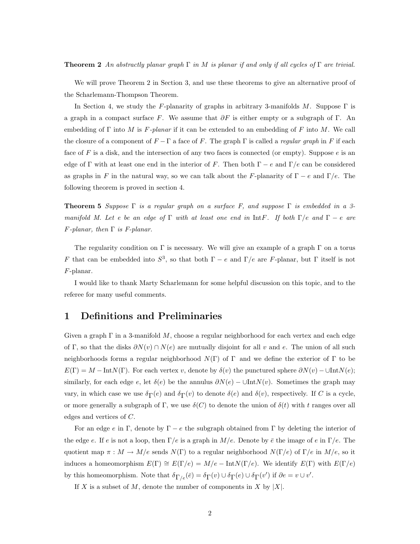**Theorem 2** An abstractly planar graph  $\Gamma$  in M is planar if and only if all cycles of  $\Gamma$  are trivial.

We will prove Theorem 2 in Section 3, and use these theorems to give an alternative proof of the Scharlemann-Thompson Theorem.

In Section 4, we study the F-planarity of graphs in arbitrary 3-manifolds M. Suppose  $\Gamma$  is a graph in a compact surface F. We assume that  $\partial F$  is either empty or a subgraph of Γ. An embedding of  $\Gamma$  into M is F-planar if it can be extended to an embedding of F into M. We call the closure of a component of  $F - \Gamma$  a face of F. The graph  $\Gamma$  is called a *regular graph* in F if each face of F is a disk, and the intersection of any two faces is connected (or empty). Suppose  $e$  is an edge of Γ with at least one end in the interior of F. Then both  $\Gamma - e$  and  $\Gamma/e$  can be considered as graphs in F in the natural way, so we can talk about the F-planarity of  $\Gamma - e$  and  $\Gamma/e$ . The following theorem is proved in section 4.

**Theorem 5** Suppose  $\Gamma$  is a regular graph on a surface F, and suppose  $\Gamma$  is embedded in a 3manifold M. Let e be an edge of Γ with at least one end in IntF. If both  $\Gamma/e$  and  $\Gamma - e$  are  $F$ -planar, then  $\Gamma$  is F-planar.

The regularity condition on Γ is necessary. We will give an example of a graph  $\Gamma$  on a torus F that can be embedded into  $S^3$ , so that both  $\Gamma - e$  and  $\Gamma/e$  are F-planar, but  $\Gamma$  itself is not F-planar.

I would like to thank Marty Scharlemann for some helpful discussion on this topic, and to the referee for many useful comments.

## 1 Definitions and Preliminaries

Given a graph  $\Gamma$  in a 3-manifold M, choose a regular neighborhood for each vertex and each edge of Γ, so that the disks  $\partial N(v) \cap N(e)$  are mutually disjoint for all v and e. The union of all such neighborhoods forms a regular neighborhood  $N(\Gamma)$  of  $\Gamma$  and we define the exterior of  $\Gamma$  to be  $E(\Gamma) = M - \text{Int}N(\Gamma)$ . For each vertex v, denote by  $\delta(v)$  the punctured sphere  $\partial N(v) - \text{UInt}N(e);$ similarly, for each edge e, let  $\delta(e)$  be the annulus  $\partial N(e)$  – ∪Int $N(v)$ . Sometimes the graph may vary, in which case we use  $\delta_{\Gamma}(e)$  and  $\delta_{\Gamma}(v)$  to denote  $\delta(e)$  and  $\delta(v)$ , respectively. If C is a cycle, or more generally a subgraph of Γ, we use  $\delta(C)$  to denote the union of  $\delta(t)$  with t ranges over all edges and vertices of C.

For an edge e in Γ, denote by  $\Gamma - e$  the subgraph obtained from Γ by deleting the interior of the edge e. If e is not a loop, then  $\Gamma/e$  is a graph in  $M/e$ . Denote by  $\bar{e}$  the image of e in  $\Gamma/e$ . The quotient map  $\pi : M \to M/e$  sends  $N(\Gamma)$  to a regular neighborhood  $N(\Gamma/e)$  of  $\Gamma/e$  in  $M/e$ , so it induces a homeomorphism  $E(\Gamma) \cong E(\Gamma/e) = M/e - \text{Int}N(\Gamma/e)$ . We identify  $E(\Gamma)$  with  $E(\Gamma/e)$ by this homeomorphism. Note that  $\delta_{\Gamma/e}(\bar{e}) = \delta_{\Gamma}(v) \cup \delta_{\Gamma}(e) \cup \delta_{\Gamma}(v')$  if  $\partial e = v \cup v'$ .

If  $X$  is a subset of  $M$ , denote the number of components in  $X$  by  $|X|$ .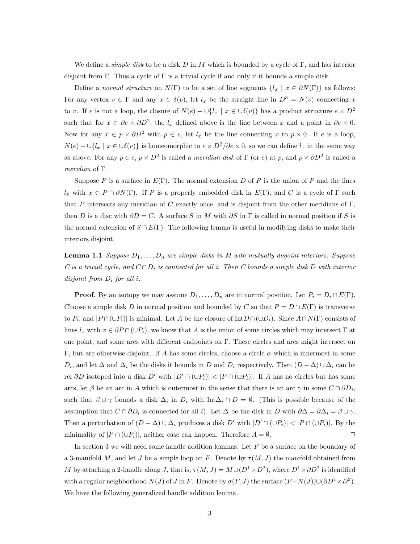We define a *simple disk* to be a disk D in M which is bounded by a cycle of  $\Gamma$ , and has interior disjoint from Γ. Thus a cycle of Γ is a trivial cycle if and only if it bounds a simple disk.

Define a normal structure on  $N(\Gamma)$  to be a set of line segments  $\{l_x \mid x \in \partial N(\Gamma)\}\)$  as follows: For any vertex  $v \in \Gamma$  and any  $x \in \delta(v)$ , let  $l_x$  be the straight line in  $D^3 = N(v)$  connecting x to v. If e is not a loop, the closure of  $N(e) - \bigcup \{l_x \mid x \in \bigcup \delta(v)\}\)$  has a product structure  $e \times D^2$ such that for  $x \in \partial e \times \partial D^2$ , the  $l_x$  defined above is the line between x and a point in  $\partial e \times 0$ . Now for any  $x \in p \times \partial D^2$  with  $p \in e$ , let  $l_x$  be the line connecting x to  $p \times 0$ . If e is a loop,  $N(e) - \bigcup \{l_x \mid x \in \bigcup \delta(v)\}\$ is homeomorphic to  $e \times D^2/\partial e \times 0$ , so we can define  $l_x$  in the same way as above. For any  $p \in e$ ,  $p \times D^2$  is called a *meridian disk* of  $\Gamma$  (or e) at p, and  $p \times \partial D^2$  is called a meridian of Γ.

Suppose P is a surface in  $E(\Gamma)$ . The normal extension D of P is the union of P and the lines  $l_x$  with  $x \in P \cap \partial N(\Gamma)$ . If P is a properly embedded disk in  $E(\Gamma)$ , and C is a cycle of  $\Gamma$  such that P intersects any meridian of C exactly once, and is disjoint from the other meridians of  $\Gamma$ , then D is a disc with  $\partial D = C$ . A surface S in M with  $\partial S$  in  $\Gamma$  is called in normal position if S is the normal extension of  $S \cap E(\Gamma)$ . The following lemma is useful in modifying disks to make their interiors disjoint.

**Lemma 1.1** Suppose  $D_1, \ldots, D_n$  are simple disks in M with mutually disjoint interiors. Suppose C is a trivial cycle, and  $C \cap D_i$  is connected for all i. Then C bounds a simple disk D with interior disjoint from  $D_i$  for all i.

**Proof.** By an isotopy we may assume  $D_1, \ldots, D_n$  are in normal position. Let  $P_i = D_i \cap E(\Gamma)$ . Choose a simple disk D in normal position and bounded by C so that  $P = D \cap E(\Gamma)$  is transverse to  $P_i$ , and  $|P \cap (\cup P_i)|$  is minimal. Let A be the closure of  $\text{Int}D \cap (\cup D_i)$ . Since  $A \cap N(\Gamma)$  consists of lines  $l_x$  with  $x \in \partial P \cap (\cup P_i)$ , we know that A is the union of some circles which may intersect  $\Gamma$  at one point, and some arcs with different endpoints on Γ. These circles and arcs might intersect on Γ, but are otherwise disjoint. If A has some circles, choose a circle α which is innermost in some  $D_i$ , and let  $\Delta$  and  $\Delta_i$  be the disks it bounds in D and  $D_i$  respectively. Then  $(D - \Delta) \cup \Delta_i$  can be rel ∂D isotoped into a disk D' with  $|D' \cap (\cup P_i)| < |P \cap (\cup P_i)|$ . If A has no circles but has some arcs, let  $\beta$  be an arc in A which is outermost in the sense that there is an arc  $\gamma$  in some  $C \cap \partial D_i$ , such that  $\beta \cup \gamma$  bounds a disk  $\Delta_i$  in  $D_i$  with  $\text{Int}\Delta_i \cap D = \emptyset$ . (This is possible because of the assumption that  $C \cap \partial D_i$  is connected for all i). Let  $\Delta$  be the disk in D with  $\partial \Delta = \partial \Delta_i = \beta \cup \gamma$ . Then a perturbation of  $(D - \Delta) \cup \Delta_i$  produces a disk D' with  $|D' \cap (\cup P_i)| < |P \cap (\cup P_i)|$ . By the minimality of  $|P \cap (\cup P_i)|$ , neither case can happen. Therefore  $A = \emptyset$ .

In section 3 we will need some handle addition lemmas. Let  $F$  be a surface on the boundary of a 3-manifold M, and let J be a simple loop on F. Denote by  $\tau(M, J)$  the manifold obtained from M by attaching a 2-handle along J, that is,  $\tau(M, J) = M \cup (D^1 \times D^2)$ , where  $D^1 \times \partial D^2$  is identified with a regular neighborhood  $N(J)$  of J in F. Denote by  $\sigma(F, J)$  the surface  $(F - N(J)) \cup (\partial D^1 \times D^2)$ . We have the following generalized handle addition lemma.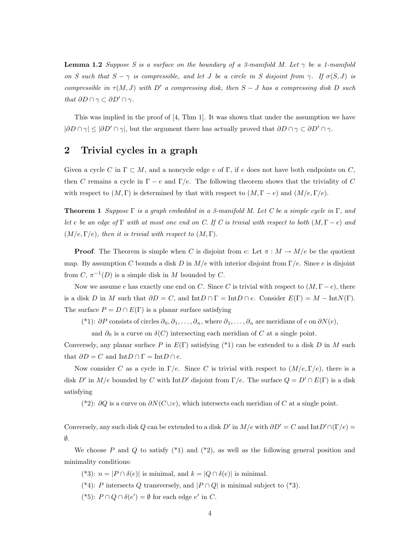**Lemma 1.2** Suppose S is a surface on the boundary of a 3-manifold M. Let  $\gamma$  be a 1-manifold on S such that  $S - \gamma$  is compressible, and let J be a circle in S disjoint from  $\gamma$ . If  $\sigma(S, J)$  is compressible in  $\tau(M, J)$  with D' a compressing disk, then  $S - J$  has a compressing disk D such that  $\partial D \cap \gamma \subset \partial D' \cap \gamma$ .

This was implied in the proof of [4, Thm 1]. It was shown that under the assumption we have  $|\partial D \cap \gamma| \leq |\partial D' \cap \gamma|$ , but the argument there has actually proved that  $\partial D \cap \gamma \subset \partial D' \cap \gamma$ .

# 2 Trivial cycles in a graph

Given a cycle C in  $\Gamma \subset M$ , and a noncycle edge e of  $\Gamma$ , if e does not have both endpoints on C, then C remains a cycle in  $\Gamma - e$  and  $\Gamma/e$ . The following theorem shows that the triviality of C with respect to  $(M, \Gamma)$  is determined by that with respect to  $(M, \Gamma - e)$  and  $(M/e, \Gamma/e)$ .

**Theorem 1** Suppose  $\Gamma$  is a graph embedded in a 3-manifold M. Let C be a simple cycle in  $\Gamma$ , and let e be an edge of Γ with at most one end on C. If C is trivial with respect to both  $(M, \Gamma - e)$  and  $(M/e, \Gamma/e)$ , then it is trivial with respect to  $(M, \Gamma)$ .

**Proof.** The Theorem is simple when C is disjoint from e: Let  $\pi : M \to M/e$  be the quotient map. By assumption C bounds a disk D in  $M/e$  with interior disjoint from  $\Gamma/e$ . Since e is disjoint from  $C, \pi^{-1}(D)$  is a simple disk in M bounded by C.

Now we assume e has exactly one end on C. Since C is trivial with respect to  $(M, \Gamma - e)$ , there is a disk D in M such that  $\partial D = C$ , and  $\mathrm{Int}D \cap \Gamma = \mathrm{Int}D \cap e$ . Consider  $E(\Gamma) = M - \mathrm{Int}N(\Gamma)$ . The surface  $P = D \cap E(\Gamma)$  is a planar surface satisfying

(\*1):  $\partial P$  consists of circles  $\partial_0, \partial_1, \ldots, \partial_n$ , where  $\partial_1, \ldots, \partial_n$  are meridians of e on  $\partial N(e)$ ,

and  $\partial_0$  is a curve on  $\delta(C)$  intersecting each meridian of C at a single point.

Conversely, any planar surface P in  $E(\Gamma)$  satisfying (\*1) can be extended to a disk D in M such that  $\partial D = C$  and  $\text{Int}D \cap \Gamma = \text{Int}D \cap e$ .

Now consider C as a cycle in  $\Gamma/e$ . Since C is trivial with respect to  $(M/e, \Gamma/e)$ , there is a disk D' in  $M/e$  bounded by C with IntD' disjoint from  $\Gamma/e$ . The surface  $Q = D' \cap E(\Gamma)$  is a disk satisfying

(\*2):  $\partial Q$  is a curve on  $\partial N(C \cup e)$ , which intersects each meridian of C at a single point.

Conversely, any such disk Q can be extended to a disk D' in  $M/e$  with  $\partial D' = C$  and  $\text{Int}D' \cap (\Gamma/e) =$ ∅.

We choose P and Q to satisfy  $(*1)$  and  $(*2)$ , as well as the following general position and minimality conditions:

(\*3):  $n = |P \cap \delta(e)|$  is minimal, and  $k = |Q \cap \delta(e)|$  is minimal.

(\*4): P intersects Q transversely, and  $|P \cap Q|$  is minimal subject to (\*3).

(\*5):  $P \cap Q \cap \delta(e') = \emptyset$  for each edge e' in C.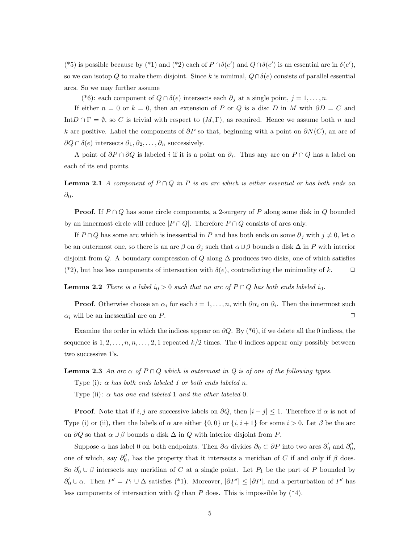(\*5) is possible because by (\*1) and (\*2) each of  $P \cap \delta(e')$  and  $Q \cap \delta(e')$  is an essential arc in  $\delta(e')$ , so we can isotop Q to make them disjoint. Since k is minimal,  $Q \cap \delta(e)$  consists of parallel essential arcs. So we may further assume

(\*6): each component of  $Q \cap \delta(e)$  intersects each  $\partial_j$  at a single point,  $j = 1, ..., n$ .

If either  $n = 0$  or  $k = 0$ , then an extension of P or Q is a disc D in M with  $\partial D = C$  and Int $D \cap \Gamma = \emptyset$ , so C is trivial with respect to  $(M, \Gamma)$ , as required. Hence we assume both n and k are positive. Label the components of  $\partial P$  so that, beginning with a point on  $\partial N(C)$ , an arc of  $∂Q ∩ δ(e)$  intersects  $∂_1, ∂_2, ..., ∂_n$  successively.

A point of  $\partial P \cap \partial Q$  is labeled i if it is a point on  $\partial_i$ . Thus any arc on  $P \cap Q$  has a label on each of its end points.

**Lemma 2.1** A component of  $P \cap Q$  in P is an arc which is either essential or has both ends on  $\partial_0$ .

**Proof.** If  $P \cap Q$  has some circle components, a 2-surgery of P along some disk in Q bounded by an innermost circle will reduce  $|P \cap Q|$ . Therefore  $P \cap Q$  consists of arcs only.

If  $P \cap Q$  has some arc which is inessential in P and has both ends on some  $\partial_j$  with  $j \neq 0$ , let  $\alpha$ be an outermost one, so there is an arc  $\beta$  on  $\partial_j$  such that  $\alpha \cup \beta$  bounds a disk  $\Delta$  in P with interior disjoint from Q. A boundary compression of Q along  $\Delta$  produces two disks, one of which satisfies (\*2), but has less components of intersection with  $\delta(e)$ , contradicting the minimality of k.

**Lemma 2.2** There is a label  $i_0 > 0$  such that no arc of  $P \cap Q$  has both ends labeled  $i_0$ .

**Proof.** Otherwise choose an  $\alpha_i$  for each  $i = 1, \ldots, n$ , with  $\partial \alpha_i$  on  $\partial_i$ . Then the innermost such  $\alpha_i$  will be an inessential arc on P.

Examine the order in which the indices appear on  $\partial Q$ . By (\*6), if we delete all the 0 indices, the sequence is  $1, 2, \ldots, n, n, \ldots, 2, 1$  repeated  $k/2$  times. The 0 indices appear only possibly between two successive 1's.

**Lemma 2.3** An arc  $\alpha$  of  $P \cap Q$  which is outermost in Q is of one of the following types.

Type (i):  $\alpha$  has both ends labeled 1 or both ends labeled n.

Type (ii):  $\alpha$  has one end labeled 1 and the other labeled 0.

**Proof.** Note that if i, j are successive labels on  $\partial Q$ , then  $|i - j| \leq 1$ . Therefore if  $\alpha$  is not of Type (i) or (ii), then the labels of  $\alpha$  are either  $\{0,0\}$  or  $\{i,i+1\}$  for some  $i > 0$ . Let  $\beta$  be the arc on  $\partial Q$  so that  $\alpha \cup \beta$  bounds a disk  $\Delta$  in  $Q$  with interior disjoint from P.

Suppose  $\alpha$  has label 0 on both endpoints. Then  $\partial \alpha$  divides  $\partial_0 \subset \partial P$  into two arcs  $\partial'_0$  and  $\partial''_0$ , one of which, say  $\partial_0''$ , has the property that it intersects a meridian of C if and only if  $\beta$  does. So  $\partial'_0 \cup \beta$  intersects any meridian of C at a single point. Let  $P_1$  be the part of P bounded by  $\partial'_0 \cup \alpha$ . Then  $P' = P_1 \cup \Delta$  satisfies (\*1). Moreover,  $|\partial P'| \leq |\partial P|$ , and a perturbation of P' has less components of intersection with  $Q$  than  $P$  does. This is impossible by  $(*4)$ .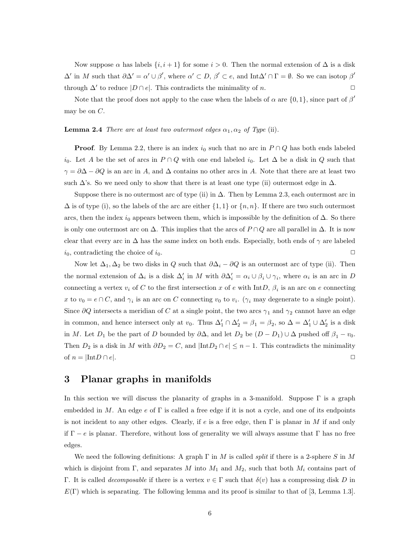Now suppose  $\alpha$  has labels  $\{i, i + 1\}$  for some  $i > 0$ . Then the normal extension of  $\Delta$  is a disk  $\Delta'$  in M such that  $\partial \Delta' = \alpha' \cup \beta'$ , where  $\alpha' \subset D$ ,  $\beta' \subset e$ , and Int $\Delta' \cap \Gamma = \emptyset$ . So we can isotop  $\beta'$ through  $\Delta'$  to reduce  $|D \cap e|$ . This contradicts the minimality of *n*.

Note that the proof does not apply to the case when the labels of  $\alpha$  are  $\{0,1\}$ , since part of  $\beta'$ may be on  $C$ .

**Lemma 2.4** There are at least two outermost edges  $\alpha_1, \alpha_2$  of Type (ii).

**Proof.** By Lemma 2.2, there is an index  $i_0$  such that no arc in  $P \cap Q$  has both ends labeled i<sub>0</sub>. Let A be the set of arcs in  $P \cap Q$  with one end labeled i<sub>0</sub>. Let  $\Delta$  be a disk in Q such that  $\gamma = \partial \Delta - \partial Q$  is an arc in A, and  $\Delta$  contains no other arcs in A. Note that there are at least two such  $\Delta$ 's. So we need only to show that there is at least one type (ii) outermost edge in  $\Delta$ .

Suppose there is no outermost arc of type (ii) in  $\Delta$ . Then by Lemma 2.3, each outermost arc in  $\Delta$  is of type (i), so the labels of the arc are either  $\{1,1\}$  or  $\{n,n\}$ . If there are two such outermost arcs, then the index  $i_0$  appears between them, which is impossible by the definition of  $\Delta$ . So there is only one outermost arc on  $\Delta$ . This implies that the arcs of  $P \cap Q$  are all parallel in  $\Delta$ . It is now clear that every arc in  $\Delta$  has the same index on both ends. Especially, both ends of  $\gamma$  are labeled  $i_0$ , contradicting the choice of  $i_0$ .

Now let  $\Delta_1, \Delta_2$  be two disks in Q such that  $\partial \Delta_i - \partial Q$  is an outermost arc of type (ii). Then the normal extension of  $\Delta_i$  is a disk  $\Delta'_i$  in M with  $\partial \Delta'_i = \alpha_i \cup \beta_i \cup \gamma_i$ , where  $\alpha_i$  is an arc in D connecting a vertex  $v_i$  of C to the first intersection x of e with IntD,  $\beta_i$  is an arc on e connecting x to  $v_0 = e \cap C$ , and  $\gamma_i$  is an arc on C connecting  $v_0$  to  $v_i$ . ( $\gamma_i$  may degenerate to a single point). Since  $\partial Q$  intersects a meridian of C at a single point, the two arcs  $\gamma_1$  and  $\gamma_2$  cannot have an edge in common, and hence intersect only at  $v_0$ . Thus  $\Delta'_1 \cap \Delta'_2 = \beta_1 = \beta_2$ , so  $\Delta = \Delta'_1 \cup \Delta'_2$  is a disk in M. Let  $D_1$  be the part of D bounded by  $\partial \Delta$ , and let  $D_2$  be  $(D - D_1) \cup \Delta$  pushed off  $\beta_1 - v_0$ . Then  $D_2$  is a disk in M with  $\partial D_2 = C$ , and  $|\text{Int}D_2 \cap e| \leq n-1$ . This contradicts the minimality of  $n = |\text{Int}D \cap e|$ .

#### 3 Planar graphs in manifolds

In this section we will discuss the planarity of graphs in a 3-manifold. Suppose  $\Gamma$  is a graph embedded in M. An edge  $e$  of  $\Gamma$  is called a free edge if it is not a cycle, and one of its endpoints is not incident to any other edges. Clearly, if e is a free edge, then  $\Gamma$  is planar in M if and only if  $\Gamma - e$  is planar. Therefore, without loss of generality we will always assume that  $\Gamma$  has no free edges.

We need the following definitions: A graph  $\Gamma$  in M is called *split* if there is a 2-sphere S in M which is disjoint from Γ, and separates M into  $M_1$  and  $M_2$ , such that both  $M_i$  contains part of Γ. It is called *decomposable* if there is a vertex  $v \in Γ$  such that  $\delta(v)$  has a compressing disk D in  $E(\Gamma)$  which is separating. The following lemma and its proof is similar to that of [3, Lemma 1.3].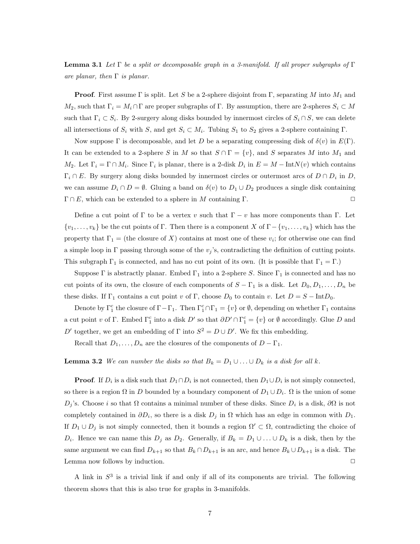**Lemma 3.1** Let  $\Gamma$  be a split or decomposable graph in a 3-manifold. If all proper subgraphs of  $\Gamma$ are planar, then  $\Gamma$  is planar.

**Proof.** First assume  $\Gamma$  is split. Let S be a 2-sphere disjoint from  $\Gamma$ , separating M into  $M_1$  and  $M_2$ , such that  $\Gamma_i = M_i \cap \Gamma$  are proper subgraphs of  $\Gamma$ . By assumption, there are 2-spheres  $S_i \subset M$ such that  $\Gamma_i \subset S_i$ . By 2-surgery along disks bounded by innermost circles of  $S_i \cap S$ , we can delete all intersections of  $S_i$  with S, and get  $S_i \subset M_i$ . Tubing  $S_1$  to  $S_2$  gives a 2-sphere containing  $\Gamma$ .

Now suppose  $\Gamma$  is decomposable, and let D be a separating compressing disk of  $\delta(v)$  in  $E(\Gamma)$ . It can be extended to a 2-sphere S in M so that  $S \cap \Gamma = \{v\}$ , and S separates M into  $M_1$  and M<sub>2</sub>. Let  $\Gamma_i = \Gamma \cap M_i$ . Since  $\Gamma_i$  is planar, there is a 2-disk  $D_i$  in  $E = M - \text{Int}N(v)$  which contains  $\Gamma_i \cap E$ . By surgery along disks bounded by innermost circles or outermost arcs of  $D \cap D_i$  in D, we can assume  $D_i \cap D = \emptyset$ . Gluing a band on  $\delta(v)$  to  $D_1 \cup D_2$  produces a single disk containing  $\Gamma \cap E$ , which can be extended to a sphere in M containing  $\Gamma$ .

Define a cut point of Γ to be a vertex v such that  $\Gamma - v$  has more components than Γ. Let  $\{v_1, \ldots, v_k\}$  be the cut points of Γ. Then there is a component X of  $\Gamma - \{v_1, \ldots, v_k\}$  which has the property that  $\Gamma_1 =$  (the closure of X) contains at most one of these  $v_i$ ; for otherwise one can find a simple loop in Γ passing through some of the  $v_j$ 's, contradicting the definition of cutting points. This subgraph  $\Gamma_1$  is connected, and has no cut point of its own. (It is possible that  $\Gamma_1 = \Gamma$ .)

Suppose Γ is abstractly planar. Embed  $\Gamma_1$  into a 2-sphere S. Since  $\Gamma_1$  is connected and has no cut points of its own, the closure of each components of  $S - \Gamma_1$  is a disk. Let  $D_0, D_1, \ldots, D_n$  be these disks. If  $\Gamma_1$  contains a cut point v of  $\Gamma$ , choose  $D_0$  to contain v. Let  $D = S - \text{Int}D_0$ .

Denote by  $\Gamma_1^c$  the closure of  $\Gamma - \Gamma_1$ . Then  $\Gamma_1^c \cap \Gamma_1 = \{v\}$  or  $\emptyset$ , depending on whether  $\Gamma_1$  contains a cut point v of Γ. Embed  $\Gamma_1^c$  into a disk D' so that  $\partial D' \cap \Gamma_1^c = \{v\}$  or  $\emptyset$  accordingly. Glue D and D' together, we get an embedding of  $\Gamma$  into  $S^2 = D \cup D'$ . We fix this embedding.

Recall that  $D_1, \ldots, D_n$  are the closures of the components of  $D - \Gamma_1$ .

**Lemma 3.2** We can number the disks so that  $B_k = D_1 \cup ... \cup D_k$  is a disk for all k.

**Proof.** If  $D_i$  is a disk such that  $D_1 \cap D_i$  is not connected, then  $D_1 \cup D_i$  is not simply connected, so there is a region  $\Omega$  in D bounded by a boundary component of  $D_1 \cup D_i$ .  $\Omega$  is the union of some  $D_j$ 's. Choose *i* so that Ω contains a minimal number of these disks. Since  $D_i$  is a disk,  $\partial\Omega$  is not completely contained in  $\partial D_i$ , so there is a disk  $D_j$  in  $\Omega$  which has an edge in common with  $D_1$ . If  $D_1 \cup D_j$  is not simply connected, then it bounds a region  $\Omega' \subset \Omega$ , contradicting the choice of  $D_i$ . Hence we can name this  $D_j$  as  $D_2$ . Generally, if  $B_k = D_1 \cup \ldots \cup D_k$  is a disk, then by the same argument we can find  $D_{k+1}$  so that  $B_k \cap D_{k+1}$  is an arc, and hence  $B_k \cup D_{k+1}$  is a disk. The Lemma now follows by induction.  $\Box$ 

A link in  $S<sup>3</sup>$  is a trivial link if and only if all of its components are trivial. The following theorem shows that this is also true for graphs in 3-manifolds.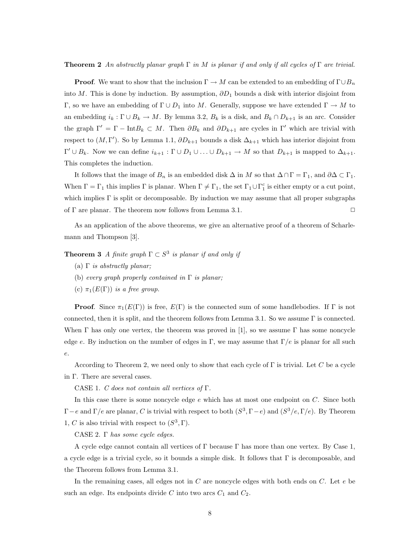**Theorem 2** An abstractly planar graph  $\Gamma$  in M is planar if and only if all cycles of  $\Gamma$  are trivial.

**Proof.** We want to show that the inclusion  $\Gamma \to M$  can be extended to an embedding of  $\Gamma \cup B_n$ into M. This is done by induction. By assumption,  $\partial D_1$  bounds a disk with interior disjoint from Γ, so we have an embedding of Γ∪  $D_1$  into M. Generally, suppose we have extended Γ → M to an embedding  $i_k : \Gamma \cup B_k \to M$ . By lemma 3.2,  $B_k$  is a disk, and  $B_k \cap D_{k+1}$  is an arc. Consider the graph  $\Gamma' = \Gamma - \text{Int}B_k \subset M$ . Then  $\partial B_k$  and  $\partial D_{k+1}$  are cycles in  $\Gamma'$  which are trivial with respect to  $(M, \Gamma')$ . So by Lemma 1.1,  $\partial D_{k+1}$  bounds a disk  $\Delta_{k+1}$  which has interior disjoint from  $\Gamma' \cup B_k$ . Now we can define  $i_{k+1} : \Gamma \cup D_1 \cup ... \cup D_{k+1} \to M$  so that  $D_{k+1}$  is mapped to  $\Delta_{k+1}$ . This completes the induction.

It follows that the image of  $B_n$  is an embedded disk  $\Delta$  in M so that  $\Delta \cap \Gamma = \Gamma_1$ , and  $\partial \Delta \subset \Gamma_1$ . When  $\Gamma = \Gamma_1$  this implies  $\Gamma$  is planar. When  $\Gamma \neq \Gamma_1$ , the set  $\Gamma_1 \cup \Gamma_1^c$  is either empty or a cut point, which implies  $\Gamma$  is split or decomposable. By induction we may assume that all proper subgraphs of  $\Gamma$  are planar. The theorem now follows from Lemma 3.1.  $\Box$ 

As an application of the above theorems, we give an alternative proof of a theorem of Scharlemann and Thompson [3].

**Theorem 3** A finite graph  $\Gamma \subset S^3$  is planar if and only if

- (a)  $\Gamma$  is abstractly planar;
- (b) every graph properly contained in  $\Gamma$  is planar;
- (c)  $\pi_1(E(\Gamma))$  is a free group.

**Proof.** Since  $\pi_1(E(\Gamma))$  is free,  $E(\Gamma)$  is the connected sum of some handlebodies. If  $\Gamma$  is not connected, then it is split, and the theorem follows from Lemma 3.1. So we assume Γ is connected. When  $\Gamma$  has only one vertex, the theorem was proved in [1], so we assume  $\Gamma$  has some noncycle edge e. By induction on the number of edges in Γ, we may assume that  $\Gamma/e$  is planar for all such e.

According to Theorem 2, we need only to show that each cycle of Γ is trivial. Let C be a cycle in Γ. There are several cases.

CASE 1. C does not contain all vertices of  $\Gamma$ .

In this case there is some noncycle edge  $e$  which has at most one endpoint on  $C$ . Since both  $\Gamma - e$  and  $\Gamma/e$  are planar, C is trivial with respect to both  $(S^3, \Gamma - e)$  and  $(S^3/e, \Gamma/e)$ . By Theorem 1, C is also trivial with respect to  $(S^3, \Gamma)$ .

CASE 2. Γ has some cycle edges.

A cycle edge cannot contain all vertices of  $\Gamma$  because  $\Gamma$  has more than one vertex. By Case 1, a cycle edge is a trivial cycle, so it bounds a simple disk. It follows that  $\Gamma$  is decomposable, and the Theorem follows from Lemma 3.1.

In the remaining cases, all edges not in  $C$  are noncycle edges with both ends on  $C$ . Let  $e$  be such an edge. Its endpoints divide C into two arcs  $C_1$  and  $C_2$ .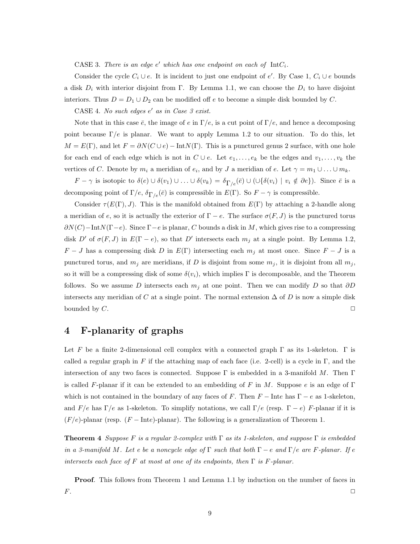CASE 3. There is an edge  $e'$  which has one endpoint on each of  $IntC_i$ .

Consider the cycle  $C_i \cup e$ . It is incident to just one endpoint of e'. By Case 1,  $C_i \cup e$  bounds a disk  $D_i$  with interior disjoint from Γ. By Lemma 1.1, we can choose the  $D_i$  to have disjoint interiors. Thus  $D = D_1 \cup D_2$  can be modified off e to become a simple disk bounded by C.

CASE 4. No such edges  $e'$  as in Case 3 exist.

Note that in this case  $\bar{e}$ , the image of e in  $\Gamma/e$ , is a cut point of  $\Gamma/e$ , and hence a decomposing point because  $\Gamma/e$  is planar. We want to apply Lemma 1.2 to our situation. To do this, let  $M = E(\Gamma)$ , and let  $F = \partial N(C \cup e) - \text{Int}N(\Gamma)$ . This is a punctured genus 2 surface, with one hole for each end of each edge which is not in  $C \cup e$ . Let  $e_1, \ldots, e_k$  be the edges and  $v_1, \ldots, v_k$  the vertices of C. Denote by  $m_i$  a meridian of  $e_i$ , and by J a meridian of e. Let  $\gamma = m_1 \cup ... \cup m_k$ .

 $F - \gamma$  is isotopic to  $\delta(e) \cup \delta(v_1) \cup ... \cup \delta(v_k) = \delta_{\Gamma(e)}(\bar{e}) \cup (\cup \{\delta(v_i) \mid v_i \notin \partial e\})$ . Since  $\bar{e}$  is a decomposing point of  $\Gamma/e$ ,  $\delta_{\Gamma/e}(\bar{e})$  is compressible in  $E(\Gamma)$ . So  $F - \gamma$  is compressible.

Consider  $\tau(E(\Gamma), J)$ . This is the manifold obtained from  $E(\Gamma)$  by attaching a 2-handle along a meridian of e, so it is actually the exterior of  $\Gamma - e$ . The surface  $\sigma(F, J)$  is the punctured torus  $\partial N(C)$ −Int $N(\Gamma-e)$ . Since  $\Gamma-e$  is planar, C bounds a disk in M, which gives rise to a compressing disk D' of  $\sigma(F, J)$  in  $E(\Gamma - e)$ , so that D' intersects each  $m_j$  at a single point. By Lemma 1.2,  $F - J$  has a compressing disk D in  $E(\Gamma)$  intersecting each  $m_j$  at most once. Since  $F - J$  is a punctured torus, and  $m_j$  are meridians, if D is disjoint from some  $m_j$ , it is disjoint from all  $m_j$ , so it will be a compressing disk of some  $\delta(v_i)$ , which implies Γ is decomposable, and the Theorem follows. So we assume D intersects each  $m_i$  at one point. Then we can modify D so that  $\partial D$ intersects any meridian of C at a single point. The normal extension  $\Delta$  of D is now a simple disk bounded by  $C$ .

# 4 F-planarity of graphs

Let F be a finite 2-dimensional cell complex with a connected graph  $\Gamma$  as its 1-skeleton.  $\Gamma$  is called a regular graph in F if the attaching map of each face (i.e. 2-cell) is a cycle in Γ, and the intersection of any two faces is connected. Suppose  $\Gamma$  is embedded in a 3-manifold M. Then  $\Gamma$ is called F-planar if it can be extended to an embedding of F in M. Suppose e is an edge of  $\Gamma$ which is not contained in the boundary of any faces of F. Then  $F$  – Inte has  $\Gamma - e$  as 1-skeleton, and  $F/e$  has  $\Gamma/e$  as 1-skeleton. To simplify notations, we call  $\Gamma/e$  (resp.  $\Gamma - e$ ) F-planar if it is  $(F/e)$ -planar (resp.  $(F - Inte)$ -planar). The following is a generalization of Theorem 1.

**Theorem 4** Suppose F is a regular 2-complex with  $\Gamma$  as its 1-skeleton, and suppose  $\Gamma$  is embedded in a 3-manifold M. Let e be a noncycle edge of  $\Gamma$  such that both  $\Gamma - e$  and  $\Gamma/e$  are F-planar. If e intersects each face of F at most at one of its endpoints, then  $\Gamma$  is F-planar.

**Proof.** This follows from Theorem 1 and Lemma 1.1 by induction on the number of faces in  $F.$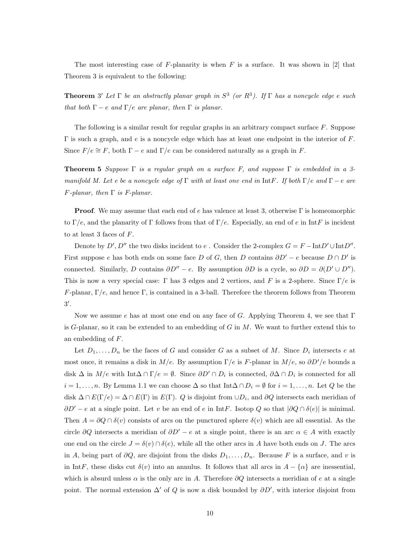The most interesting case of F-planarity is when  $F$  is a surface. It was shown in [2] that Theorem 3 is equivalent to the following:

**Theorem** 3' Let  $\Gamma$  be an abstractly planar graph in  $S^3$  (or  $R^3$ ). If  $\Gamma$  has a noncycle edge e such that both  $\Gamma - e$  and  $\Gamma/e$  are planar, then  $\Gamma$  is planar.

The following is a similar result for regular graphs in an arbitrary compact surface  $F$ . Suppose  $\Gamma$  is such a graph, and e is a noncycle edge which has at least one endpoint in the interior of F. Since  $F/e \cong F$ , both  $\Gamma - e$  and  $\Gamma/e$  can be considered naturally as a graph in F.

**Theorem 5** Suppose  $\Gamma$  is a regular graph on a surface F, and suppose  $\Gamma$  is embedded in a 3manifold M. Let e be a noncycle edge of  $\Gamma$  with at least one end in IntF. If both  $\Gamma/e$  and  $\Gamma - e$  are  $F$ -planar, then  $\Gamma$  is  $F$ -planar.

**Proof.** We may assume that each end of e has valence at least 3, otherwise  $\Gamma$  is homeomorphic to  $\Gamma/e$ , and the planarity of  $\Gamma$  follows from that of  $\Gamma/e$ . Especially, an end of e in IntF is incident to at least 3 faces of  $F$ .

Denote by  $D', D''$  the two disks incident to e. Consider the 2-complex  $G = F - \text{Int}D' \cup \text{Int}D''$ . First suppose e has both ends on some face D of G, then D contains  $\partial D' - e$  because  $D \cap D'$  is connected. Similarly, D contains  $\partial D'' - e$ . By assumption  $\partial D$  is a cycle, so  $\partial D = \partial (D' \cup D'')$ . This is now a very special case: Γ has 3 edges and 2 vertices, and F is a 2-sphere. Since  $\Gamma/e$  is F-planar,  $\Gamma/e$ , and hence  $\Gamma$ , is contained in a 3-ball. Therefore the theorem follows from Theorem  $3^{\prime}$ .

Now we assume e has at most one end on any face of G. Applying Theorem 4, we see that  $\Gamma$ is  $G$ -planar, so it can be extended to an embedding of  $G$  in  $M$ . We want to further extend this to an embedding of F.

Let  $D_1, \ldots, D_n$  be the faces of G and consider G as a subset of M. Since  $D_i$  intersects e at most once, it remains a disk in M/e. By assumption  $\Gamma/e$  is F-planar in  $M/e$ , so  $\partial D'/e$  bounds a disk  $\Delta$  in  $M/e$  with Int $\Delta \cap \Gamma/e = \emptyset$ . Since  $\partial D' \cap D_i$  is connected,  $\partial \Delta \cap D_i$  is connected for all  $i = 1, \ldots, n$ . By Lemma 1.1 we can choose  $\Delta$  so that Int $\Delta \cap D_i = \emptyset$  for  $i = 1, \ldots, n$ . Let Q be the disk  $\Delta \cap E(\Gamma/e) = \Delta \cap E(\Gamma)$  in  $E(\Gamma)$ . Q is disjoint from  $\cup D_i$ , and  $\partial Q$  intersects each meridian of  $\partial D' - e$  at a single point. Let v be an end of e in IntF. Isotop Q so that  $|\partial Q \cap \delta(e)|$  is minimal. Then  $A = \partial Q \cap \delta(v)$  consists of arcs on the punctured sphere  $\delta(v)$  which are all essential. As the circle ∂Q intersects a meridian of  $\partial D' - e$  at a single point, there is an arc  $\alpha \in A$  with exactly one end on the circle  $J = \delta(v) \cap \delta(e)$ , while all the other arcs in A have both ends on J. The arcs in A, being part of  $\partial Q$ , are disjoint from the disks  $D_1, \ldots, D_n$ . Because F is a surface, and v is in IntF, these disks cut  $\delta(v)$  into an annulus. It follows that all arcs in  $A - \{\alpha\}$  are inessential, which is absurd unless  $\alpha$  is the only arc in A. Therefore  $\partial Q$  intersects a meridian of e at a single point. The normal extension  $\Delta'$  of Q is now a disk bounded by  $\partial D'$ , with interior disjoint from